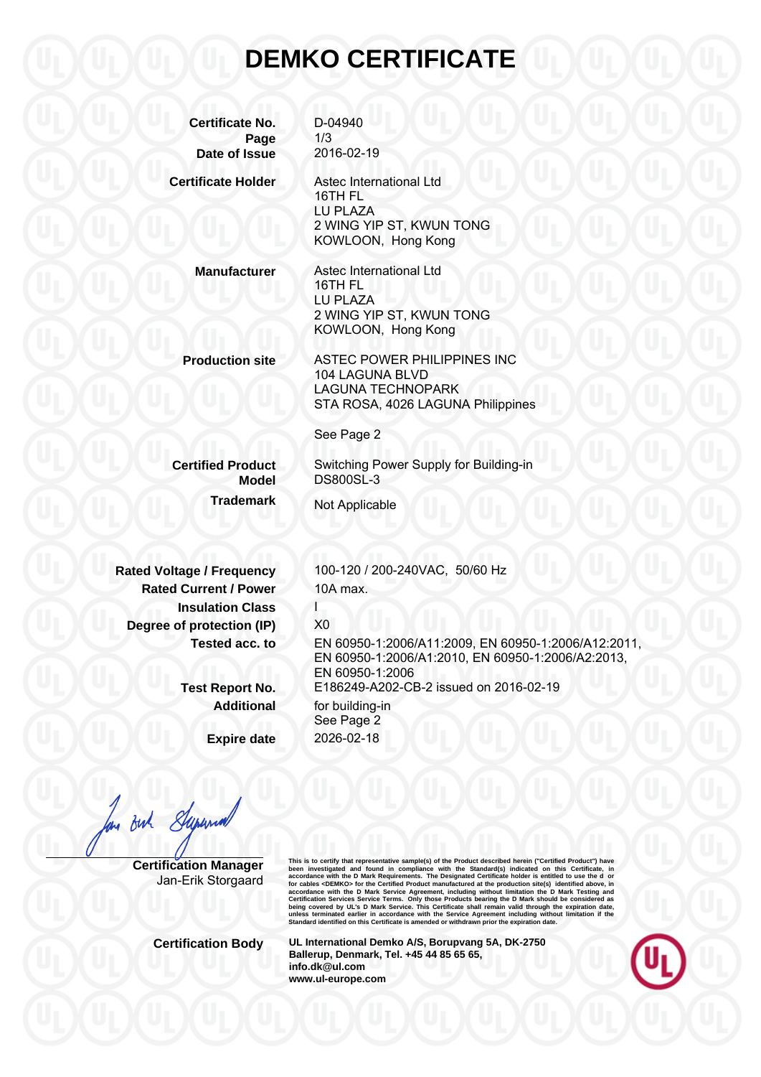## **DEMKO CERTIFICATE**

**Certificate No.** D-04940 **Page** 1/3 **Date of Issue** 2016-02-19

**Certificate Holder** Astec International Ltd

16TH FL LU PLAZA 2 WING YIP ST, KWUN TONG KOWLOON, Hong Kong

**Manufacturer** Astec International Ltd 16TH FL LU PLAZA 2 WING YIP ST, KWUN TONG KOWLOON, Hong Kong

**Production site** ASTEC POWER PHILIPPINES INC 104 LAGUNA BLVD LAGUNA TECHNOPARK STA ROSA, 4026 LAGUNA Philippines

See Page 2

**Trademark** Not Applicable

**Certified Product** Switching Power Supply for Building-in **Model** DS800SL-3

**Rated Current / Power** 10A max. **Insulation Class Degree of protection (IP)** X0

**Expire date** 2026-02-18

**Rated Voltage / Frequency** 100-120 / 200-240VAC, 50/60 Hz

**Tested acc. to** EN 60950-1:2006/A11:2009, EN 60950-1:2006/A12:2011, EN 60950-1:2006/A1:2010, EN 60950-1:2006/A2:2013, EN 60950-1:2006 **Test Report No.** E186249-A202-CB-2 issued on 2016-02-19 **Additional** for building-in See Page 2

But Superior

**Certification Manager** Jan-Erik Storgaard This is to certify that representative sample(s) of the Product described herein ("Certifical Product") have<br>been investigated and found in compliance with the Standard(s) indicated on this Certificate, in<br>accordance with

**Certification Body UL International Demko A/S, Borupvang 5A, DK-2750 Ballerup, Denmark, Tel. +45 44 85 65 65, info.dk@ul.com www.ul-europe.com**

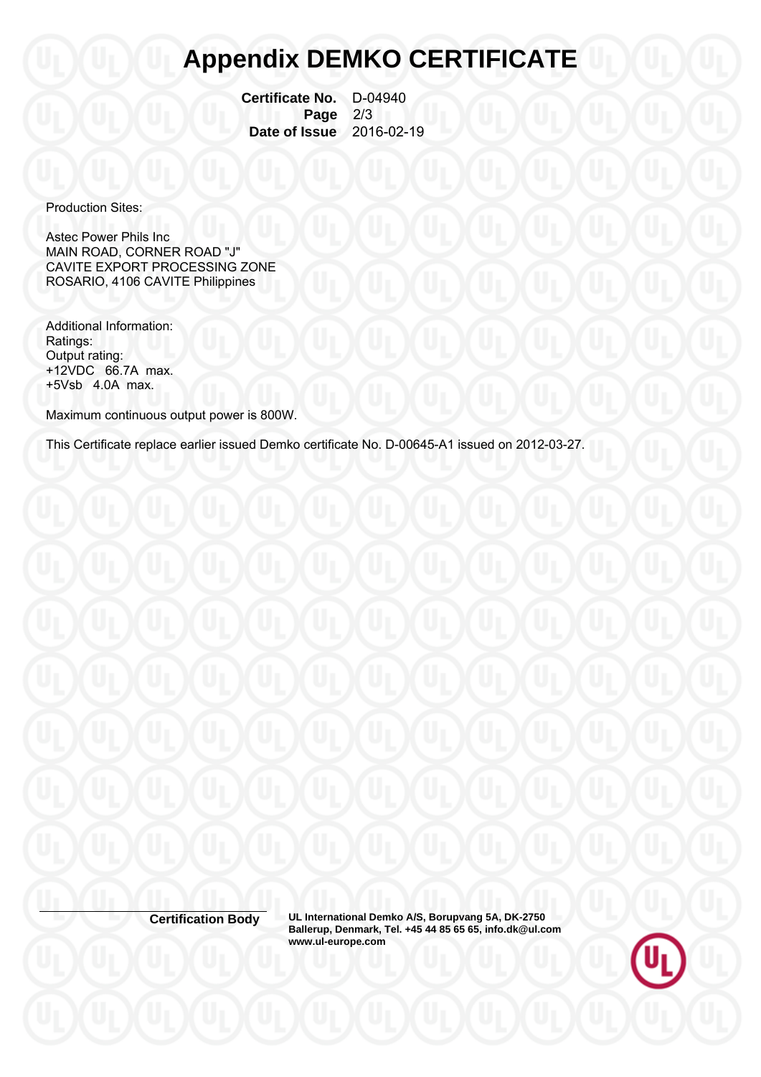## **Appendix DEMKO CERTIFICATE**

 **Certificate No.** D-04940 **Page** 2/3<br>**Issue** 2016-02-19 **Date of Issue** 

Production Sites:

Astec Power Phils Inc MAIN ROAD, CORNER ROAD "J" CAVITE EXPORT PROCESSING ZONE ROSARIO, 4106 CAVITE Philippines

Additional Information: Ratings: Output rating: +12VDC 66.7A max. +5Vsb 4.0A max.

Maximum continuous output power is 800W.

This Certificate replace earlier issued Demko certificate No. D-00645-A1 issued on 2012-03-27.

**Certification Body UL International Demko A/S, Borupvang 5A, DK-2750 Ballerup, Denmark, Tel. +45 44 85 65 65, info.dk@ul.com www.ul-europe.com**